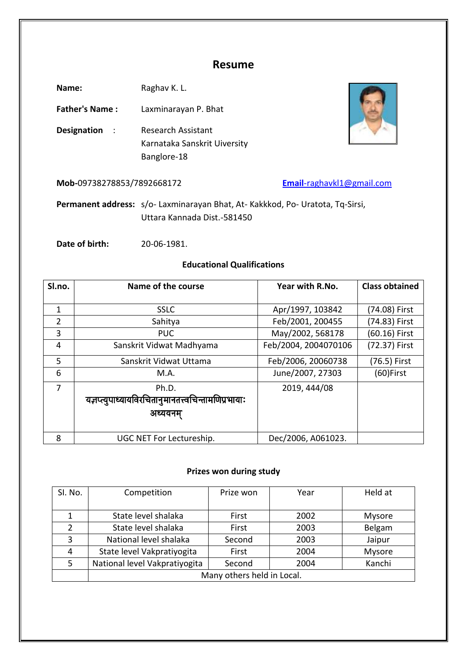## **Resume**

Name: Raghav K. L.

**Father's Name :** Laxminarayan P. Bhat

**Designation** : Research Assistant Karnataka Sanskrit Uiversity Banglore-18

**Mob-**09738278853/7892668172 **Email**[-raghavkl1@gmail.com](mailto:Email-raghavkl1@gmail.com)

**Permanent address:** s/o- Laxminarayan Bhat, At- Kakkkod, Po- Uratota, Tq-Sirsi, Uttara Kannada Dist.-581450

**Date of birth:** 20-06-1981.

## **Educational Qualifications**

| Sl.no.         | Name of the course                                   | Year with R.No.      | <b>Class obtained</b> |
|----------------|------------------------------------------------------|----------------------|-----------------------|
|                |                                                      |                      |                       |
| 1              | <b>SSLC</b>                                          | Apr/1997, 103842     | (74.08) First         |
| $\overline{2}$ | Sahitya                                              | Feb/2001, 200455     | (74.83) First         |
| 3              | <b>PUC</b>                                           | May/2002, 568178     | (60.16) First         |
| 4              | Sanskrit Vidwat Madhyama                             | Feb/2004, 2004070106 | (72.37) First         |
| 5              | Sanskrit Vidwat Uttama                               | Feb/2006, 20060738   | (76.5) First          |
| 6              | M.A.                                                 | June/2007, 27303     | $(60)$ First          |
| 7              | Ph.D.                                                | 2019, 444/08         |                       |
|                | यज्ञप्त्युपाध्यायविरचितानुमानतत्त्वचिन्तामणिप्रभायाः |                      |                       |
|                | अध्ययनम                                              |                      |                       |
|                |                                                      |                      |                       |
| 8              | UGC NET For Lectureship.                             | Dec/2006, A061023.   |                       |

### **Prizes won during study**

| SI. No. | Competition                   | Prize won | Year | Held at       |
|---------|-------------------------------|-----------|------|---------------|
|         | State level shalaka           | First     | 2002 | <b>Mysore</b> |
|         | State level shalaka           | First     | 2003 | Belgam        |
| 3       | National level shalaka        | Second    | 2003 | Jaipur        |
| 4       | State level Vakpratiyogita    | First     | 2004 | Mysore        |
| 5       | National level Vakpratiyogita | Second    | 2004 | Kanchi        |
|         | Many others held in Local.    |           |      |               |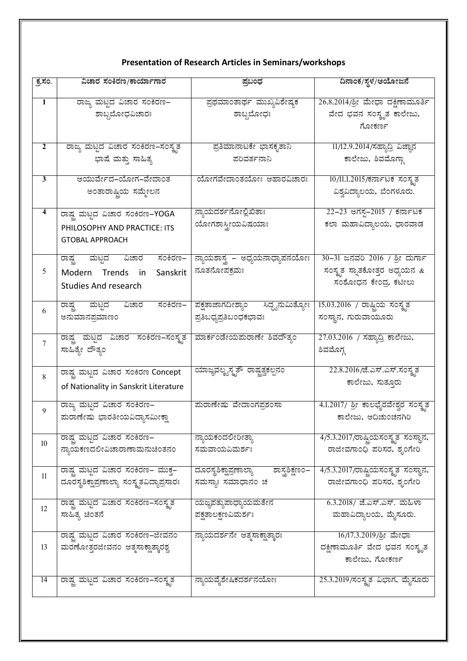# **Presentation of Research Articles in Seminars/workshops**

| ಕ್ರಸಂ.          | ವಿಚಾರ ಸಂಕಿರಣ/ಕಾರ್ಯಾಗಾರ                                        | ಪ್ರಬಂಧ                                   | ದಿನಾಂಕ/ಸ್ಥಳ/ಆಯೋಜನೆ                   |
|-----------------|---------------------------------------------------------------|------------------------------------------|--------------------------------------|
|                 |                                                               |                                          |                                      |
| $\overline{1}$  | ರಾಜ್ಯ ಮಟ್ಟದ ವಿಚಾರ ಸಂಕಿರಣ–                                     | ಪ್ರಥಮಾಂತಾರ್ಥ ಮುಖ್ಯವಿಶೇಷ್ಠಕ               | 26.8.2014/ಶ್ರೀ ಮೇಧಾ ದಕ್ಷಿಣಾಮೂರ್ತಿ    |
|                 | ಶಾಬ್ದಬೋಧವಿಚಾರಃ                                                | ಶಾಬ್ದಬೋಧಃ                                | ವೇದ ಭವನ ಸಂಸ್ತೃತ ಕಾಲೇಜು,              |
|                 |                                                               |                                          | ಗೋಕರ್ಣ                               |
| 2               | ರಾಜ್ಯ ಮಟ್ಟದ ವಿಚಾರ ಸಂಕಿರಣ–ಸಂಸ್ಥೃತ                              | ಪ್ರತಿಮಾನಾಟಕೇ ಭಾಸಕೃತಾನಿ                   | 11/12.9.2014/ಸಹ್ಯಾದ್ರಿ ವಿಜ್ಞಾನ       |
|                 | ಭಾಷೆ ಮತ್ತು ಸಾಹಿತ್ಯ                                            | ಪರಿವರ್ತನಾನಿ                              | ಕಾಲೇಜು, ಶಿವಮೊಗ್ಗಾ                    |
|                 |                                                               |                                          |                                      |
| 3               | ಆಯುರ್ವೇದ–ಯೋಗ–ವೇದಾಂತ                                           | ಯೋಗವೇದಾಂತಯೋಃ ಆಹಾರವಿಚಾರಃ                  | 10/11.1.2015/ಕರ್ನಾಟಕ ಸಂಸ್ಥತ          |
|                 | ಅಂತಾರಾಷ್ಟ್ರಿಯ ಸಮ್ಮೇಲನ                                         |                                          | ವಿಶ್ವವಿದ್ಯಾಲಯ, ಬೆಂಗಳೂರು.             |
| 4               |                                                               | ನ್ಯಾಯದರ್ಶನೋಲ್ಲಿಖಿತಾಃ                     | <u>22–23 ಅಗಸ್ತ–2015 / ಕರ್ನಾಟಕ</u>    |
|                 | ರಾಷ್ಟ್ರ ಮಟ್ಟದ ವಿಚಾರ ಸಂಕಿರಣ–YOGA                               | ಯೋಗಶಾಸ್ತ್ರೀಯವಿಷಯಾಃ                       | ಕಲಾ ಮಹಾವಿದ್ಯಾಲಯ, ಧಾರವಾಡ              |
|                 | PHILOSOPHY AND PRACTICE: ITS                                  |                                          |                                      |
|                 | <b>GTOBAL APPROACH</b>                                        |                                          |                                      |
|                 | ರಾಷ್ಟ್ರ ಮಟ್ಟದ ವಿಚಾರ ಸಂಕಿರಣ–                                   | ನ್ಯಾಯಶಾಸ್ತ್ರ – ಅಧ್ಯಯನಾಧ್ಯಾಪನಯೋಃ          | 30-31 ಜನವರಿ 2016 / ಶ್ರೀ ದುರ್ಗಾ       |
| 5               | Modern Trends in<br>Sanskrit                                  | ನೂತನೋಪಕ್ರಮಃ                              | ಸಂಸ್ಥೃತ ಸ್ನಾತಕೋತ್ತರ ಅಧ್ಯಯನ $\&$      |
|                 | <b>Studies And research</b>                                   |                                          | ಸಂಶೋಧನ ಕೇಂದ್ರ ಕಟೀಲು                  |
|                 |                                                               |                                          |                                      |
| 6               | ರಾಷ್ಟ್ರ ಮಟ್ಟದ ವಿಚಾರ ಸಂಕಿರಣ– ಪಕ್ಷತಾಜಾಗದೀಶ್ಯಾಂ ಸಿದ್ಧ್ಯನುಮಿತ್ಯೋಃ |                                          | 15.03.2016 / ರಾಷ್ಟ್ರಿಯ ಸಂಸ್ಥೃತ       |
|                 | ಅನುಮಾನಪ್ರಮಾಣಂ                                                 | ಪ್ರತಿಬಧ್ಯಪ್ರತಿಬಂಧಕಭಾವಃ                   | ಸಂಸ್ಥಾನ, ಗುರುವಾಯೂರು                  |
|                 | ರಾಷ್ಟ್ರ ಮಟ್ಟದ ವಿಚಾರ ಸಂಕಿರಣ–ಸಂಸ್ಕೃತ ಮಾರ್ಕಂಡೇಯಮರಾಣೇ ಶಿವದೌತ್ಯಂ   |                                          | 27.03.2016 / ಸಹ್ಯಾದ್ರಿ ಕಾಲೇಜು,       |
| $\overline{7}$  | ಸಾಹಿತ್ಯೇ ದೌತ್ಯಂ                                               |                                          | ಶಿವಮೊಗ್ಗ                             |
|                 |                                                               |                                          |                                      |
| 8               | ರಾಷ್ಟ್ರ ಮಟ್ಟದ ವಿಚಾರ ಸಂಕಿರಣ Concept                            | ಯಾಜ್ಞವಲ್ಕ್ಯಸ್ಮೃತೌ ರಾಷ್ಟ್ರತ್ವಕಲ್ಪನಂ       | 22.8.2016/ಜೆ.ಎಸ್.ಎಸ್.ಸಂಸ್ಥೃತ         |
|                 | of Nationality in Sanskrit Literature                         |                                          | ಕಾಲೇಜು, ಸುತ್ತೂರು                     |
|                 |                                                               |                                          |                                      |
| $\mathbf{Q}$    | ರಾಜ್ಯ ಮಟ್ಟದ ವಿಚಾರ ಸಂಕಿರಣ–                                     | ಮರಾಣೇಷು ವೇದಾಂಗಪ್ರಶಂಸಾ                    | 4.1.2017/ ಶ್ರೀ ಕಾಲಭೈರವೇಶ್ವರ ಸಂಸ್ಥೃತ  |
|                 | ಮರಾಣೇಷು ಭಾರತೀಯವಿದ್ಯಾಸಮೀಕ್ಷಾ                                   |                                          | ಕಾಲೇಜು, ಆದಿಚುಂಚನಗಿರಿ                 |
|                 | ರಾಷ್ಟ್ರ ಮಟ್ಟದ ವಿಚಾರ ಸಂಕಿರಣ–                                   | ನ್ಯಾಯಕಂದಲೀರೀತ್ಯಾ                         | 4/5.3.2017/ರಾಷ್ಟ್ರಿಯಸಂಸ್ಕೃತ ಸಂಸ್ಥಾನ, |
| 10 <sup>°</sup> | ನ್ಯಾಯಕಣದಲೀವಿಚಾರಾಣಾಮನುಚಿಂತನಂ                                   | ಸಮವಾಯವಿಮರ್ಶಃ                             | ರಾಜೀವಗಾಂಧಿ ಪರಿಸರ, ಶೃಂಗೇರಿ            |
|                 |                                                               |                                          |                                      |
| 11              | ರಾಷ್ಟ್ರ ಮಟ್ಟದ ವಿಚಾರ ಸಂಕಿರಣ– ಮುಕ್ತ–                            | ದೂರಸ್ಥಶಿಕ್ಷಾಪ್ರಣಾಲ್ಯಾ<br>ಶಾಸ್ತ್ರಶಿಕ್ಷಣ೦– | 4/5.3.2017/ರಾಷ್ಟ್ರಿಯಸಂಸ್ಕೃತ ಸಂಸ್ಥಾನ, |
|                 | ದೂರಸ್ಥಶಿಕ್ಷಾಪ್ರಣಾಲ್ಯಾ ಸಂಸ್ಕೃತವಿದ್ಯಾಪ್ರಸಾರಃ                    | ಸಮಸ್ಯಾಃ ಸಮಾಧಾನಂ ಚ                        | ರಾಜೀವಗಾಂಧಿ ಪರಿಸರ, ಶೃಂಗೇರಿ            |
|                 | ರಾಷ್ಟ್ರ ಮಟ್ಟದ ವಿಚಾರ ಸಂಕಿರಣ–ಸಂಸ್ಕೃತ                            | ಯಜ್ಞಪತ್ಯುಪಾಧ್ಯಾಯಮತೇನ                     | 6.3.2018/ ಜೆ.ಎಸ್.ಎಸ್. ಮಹಿಳಾ          |
| 12              | ಸಾಹಿತ್ಯ ಚಿಂತನೆ                                                | ಪಕ್ಷತಾಲಕ್ಷಣವಿಮರ್ಶಃ                       | ಮಹಾವಿದ್ಯಾಲಯ, ಮೈಸೂರು.                 |
|                 |                                                               |                                          |                                      |
|                 | ರಾಷ್ಟ್ರ ಮಟ್ಟದ ವಿಚಾರ ಸಂಕಿರಣ–ಜೀವನಂ                              | ನ್ಯಾಯದರ್ಶನೇ ಆತ್ಮಸಾಕ್ಷಾತ್ಕಾರಃ             | 16/17.3.2019/ಶ್ರೀ ಮೇಧಾ               |
| 13              | ಮರಣೋತ್ತರಜೀವನಂ ಆತ್ಮಸಾಕ್ಷಾತ್ಕಾರಶ್ಚ                              |                                          | ದಕ್ಷಿಣಾಮೂರ್ತಿ ವೇದ ಭವನ ಸಂಸ್ಕೃತ        |
|                 |                                                               |                                          | ಕಾಲೇಜು, ಗೋಕರ್ಣ                       |
|                 |                                                               |                                          |                                      |
| 14              | ರಾಷ್ಟ್ರ ಮಟ್ಟದ ವಿಚಾರ ಸಂಕಿರಣ–ಸಂಸ್ಕೃತ                            | ನ್ಯಾಯವೈಶೇಷಿಕದರ್ಶನಯೋಃ                     | 25.3.2019/ಸಂಸ್ಕೃತ ವಿಭಾಗ, ಮೈಸೂರು      |
|                 |                                                               |                                          |                                      |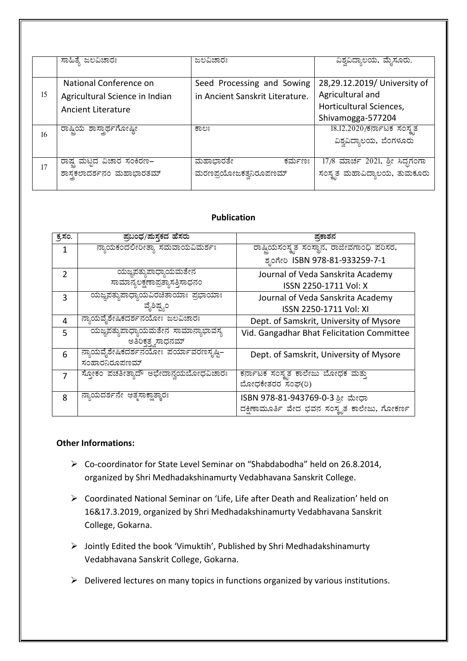|    | ಸಾಹಿತ್ಯೆ ಜಲವಿಚಾರಃ                      | ಜಲವಿಚಾರಃ                        | ವಿಶ್ವವಿದ್ಯಾಲಯ, ಮೈಸೂರು.          |
|----|----------------------------------------|---------------------------------|---------------------------------|
|    |                                        |                                 |                                 |
|    | National Conference on                 | Seed Processing and Sowing      | 28,29.12.2019/ University of    |
| 15 | Agricultural Science in Indian         | in Ancient Sanskrit Literature. | Agricultural and                |
|    | <b>Ancient Literature</b>              |                                 | Horticultural Sciences,         |
|    |                                        |                                 | Shivamogga-577204               |
| 16 | ರಾಷ್ಟ್ರಿಯ <mark>ಶಾಸ್ತಾರ್ಥಗೋಷ್ಠೀ</mark> | ಕಾಲಃ                            | 18.12.2020/ಕರ್ನಾಟಕ ಸಂಸ್ಥೃತ      |
|    |                                        |                                 | ವಿಶ್ವವಿದ್ಯಾಲಯ, ಬೆಂಗಳೂರು         |
|    |                                        |                                 |                                 |
| 17 | ರಾಷ್ಟ್ರ ಮಟ್ಟದ ವಿಚಾರ ಸಂಕಿರಣ–            | ಮಹಾಭಾರತೇ<br>ಕರ್ಮಣಃ              | 17/8 ಮಾರ್ಚ 2021, ಶ್ರೀ ಸಿದ್ಧಗಂಗಾ |
|    | ಶಾಸ್ತ್ರ ಪರ್ಶನಂ ಮಹಾಭಾರತಮ್               | ಮರಣಪ್ರಯೋಜಕತ್ವನಿರೂಪಣಮ್           | ಸಂಸ್ಥೃತ ಮಹಾವಿದ್ಯಾಲಯ, ತುಮಕೂರು    |
|    |                                        |                                 |                                 |

### **Publication**

| ಕ್ಕಸಂ.         | ಪ್ರಬಂಧ/ಮಸ್ತಕದ ಹೆಸರು                  | ಪ್ರಕಾಶನ                                      |
|----------------|--------------------------------------|----------------------------------------------|
|                |                                      |                                              |
| 1              | ನ್ಯಾಯಕಂದಲೀರೀತ್ಯಾ ಸಮವಾಯವಿಮರ್ಶಃ        | ರಾಷ್ಟಿಯಸಂಸ್ಕೃತ ಸಂಸ್ಥಾನ, ರಾಜೀವಗಾಂಧಿ ಪರಿಸರ,    |
|                |                                      | ಶೃಂಗೇರಿ ISBN 978-81-933259-7-1               |
| $\overline{2}$ | ಯಜ್ಞಪತ್ಯುಪಾಧ್ಯಾಯಮತೇನ                 | Journal of Veda Sanskrita Academy            |
|                | ಸಾಮಾನ್ಯಲಕ್ಷಣಾಪ್ರತ್ಯಾಸತ್ತಿಸಾಧನಂ       | ISSN 2250-1711 Vol: X                        |
| 3              | ಯಜ್ಞಪತ್ಯುಪಾಧ್ಯಾಯವಿರಚಿತಾಯಾಃ ಪ್ರಭಾಯಾಃ  | Journal of Veda Sanskrita Academy            |
|                | ವೈಶಿಷ್ಷ್ನಂ                           | ISSN 2250-1711 Vol: XI                       |
| 4              | ನ್ಯಾಯವೈಶೇಷಿಕದರ್ಶನಯೋಃ ಜಲವಿಚಾರಃ        | Dept. of Samskrit, University of Mysore      |
| 5              | ಯಜ್ಞಪತ್ತುಪಾಧ್ಯಾಯಮತೇನ ಸಾಮಾನ್ಯಾಭಾವಸ್ಯ  | Vid. Gangadhar Bhat Felicitation Committee   |
|                | ಅತಿರಿಕೃತ್ಞ ಸಾಧನಮ್                    |                                              |
| 6              | ನ್ಯಾಯವೈಶೇಷಿಕದರ್ಶನಯೋಃ ಪರ್ಯಾವರಣಸೃಷ್ಠಿ– | Dept. of Samskrit, University of Mysore      |
|                | ಸಂಹಾರನಿರೂಪಣಮ್                        |                                              |
| 7              | ಸ್ತೋಕಂ ಪಚತೀತ್ತಾದೌ ಅಭೇದಾನ್ರಯಬೋಧವಿಚಾರಃ | ಕರ್ನಾಟಕ ಸಂಸ್ಕೃತ ಕಾಲೇಜು ಬೋಧಕ ಮತ್ತು            |
|                |                                      | ಬೋಧಕೇತರರ ಸಂಘ(ರಿ)                             |
| 8              | ನ್ಯಾಯದರ್ಶನೇ ಆತ್ಮಸಾಕ್ಷಾತ್ಕಾರಃ         | ISBN 978-81-943769-0-3 ಶ್ರೀ ಮೇಧಾ             |
|                |                                      | ದಕ್ಷಿಣಾಮೂರ್ತಿ ವೇದ ಭವನ ಸಂಸ್ಕೃತ ಕಾಲೇಜು, ಗೋಕರ್ಣ |

## **Other Informations:**

- > Co-coordinator for State Level Seminar on "Shabdabodha" held on 26.8.2014, organized by Shri Medhadakshinamurty Vedabhavana Sanskrit College.
- > Coordinated National Seminar on 'Life, Life after Death and Realization' held on 16&17.3.2019, organized by Shri Medhadakshinamurty Vedabhavana Sanskrit College, Gokarna.
- > Jointly Edited the book 'Vimuktih', Published by Shri Medhadakshinamurty Vedabhavana Sanskrit College, Gokarna.
- $\triangleright$  Delivered lectures on many topics in functions organized by various institutions.